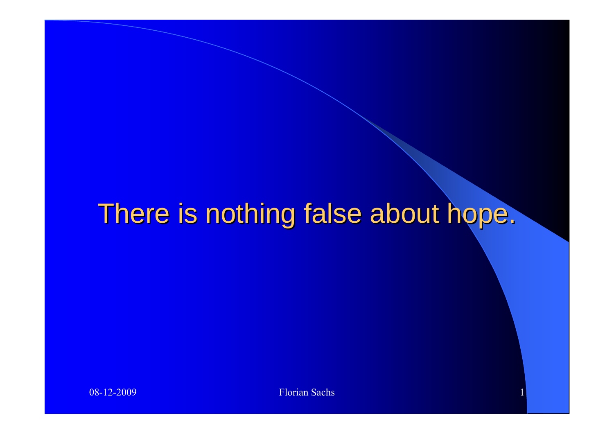#### There is nothing false about hope.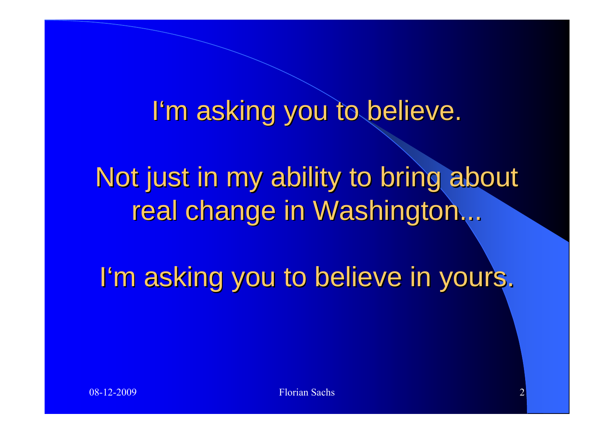#### I'm asking you to believe.

Not just in my ability to bring about real change in Washington...

I'm asking you to believe in yours.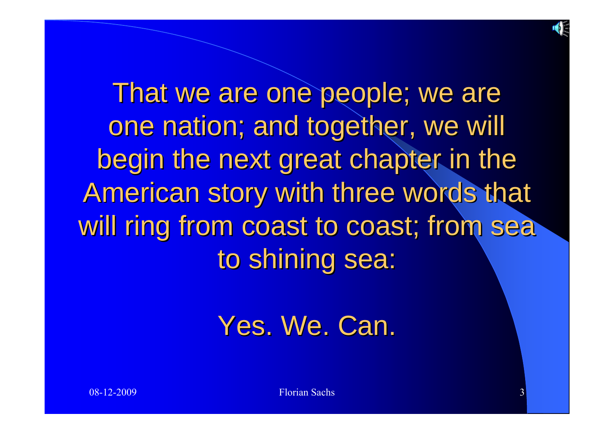

That we are one people; we are one nation; and together, we will begin the next great chapter in the American story with three words that will ring from coast to coast; from sea to shining sea:

#### Yes. We. Can.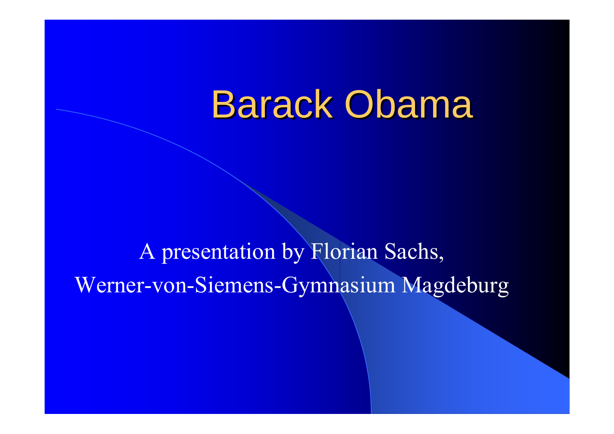# **Barack Obama**

#### A presentation by Florian Sachs, Werner-von-Siemens-Gymnasium Magdeburg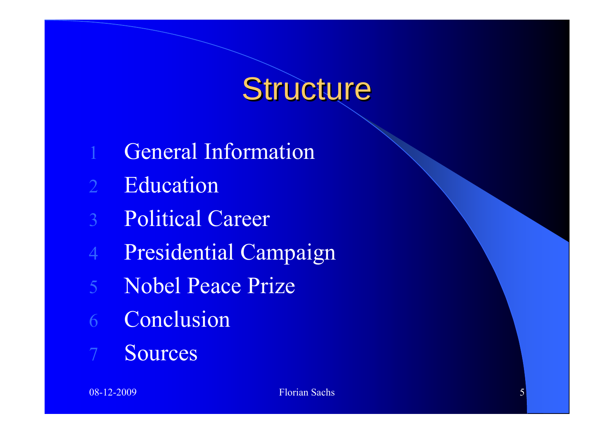#### Structure

- 1General Information
- 2**Education**
- 3Political Career
- 4Presidential Campaign
- 5 Nobel Peace Prize
- 6**Conclusion**
- 7Sources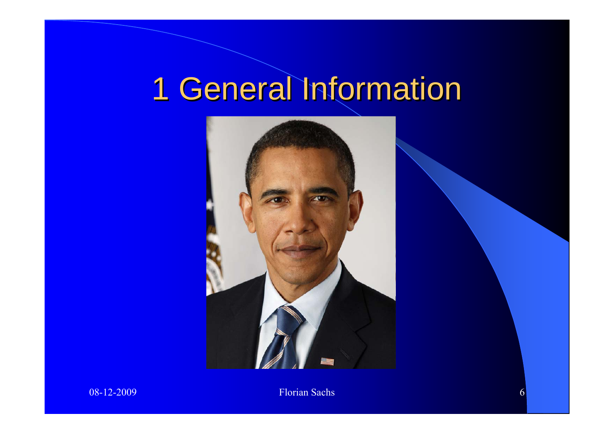# 1 General Information

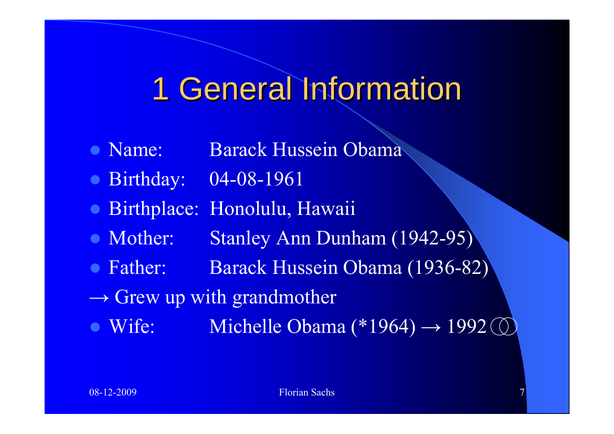### 1 General Information

- Name: Barack Hussein Obama
- Birthday: 04-08-1961
- **Birthplace: Honolulu, Hawaii**
- Mother: Stanley Ann Dunham (1942-95)
- Father: Barack Hussein Obama (1936-82)
- $\rightarrow$  Grew up with grandmother
- · Wife: • Wife: Michelle Obama  $(*1964) \rightarrow 1992$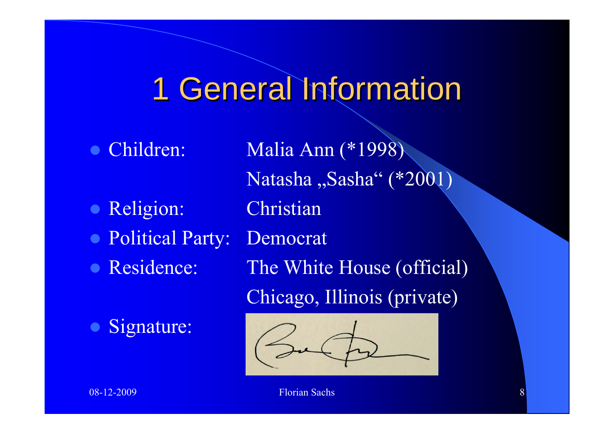# 1 General Information

- $\bullet$
- $\bullet$ Religion: Christian
- **Political Party: Democrat**
- **Residence:**
- $\bullet$ Signature:

Children: Malia Ann (\*1998) Natasha "Sasha" (\*2001) The White House (official) Chicago, Illinois (private)

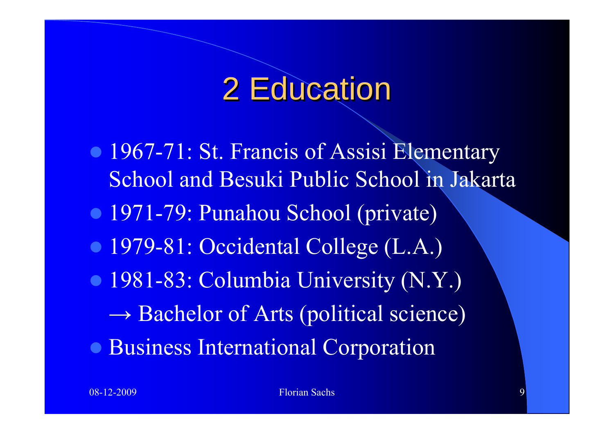#### 2 Education

• 1967-71: St. Francis of Assisi Elementary School and Besuki Public School in Jakarta • 1971-79: Punahou School (private) • 1979-81: Occidental College (L.A.) • 1981-83: Columbia University (N.Y.)  $\rightarrow$  Bachelor of Arts (political science) **• Business International Corporation**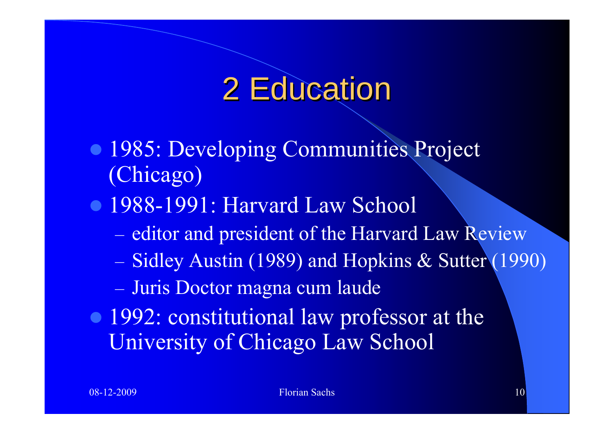#### 2 Education

- 1985: Developing Communities Project (Chicago)
- 1988-1991: Harvard Law School
	- editor and president of the Harvard Law Review
	- Sidley Austin (1989) and Hopkins & Sutter (1990)
	- Juris Doctor magna cum laude
- 1992: constitutional law professor at the University of Chicago Law School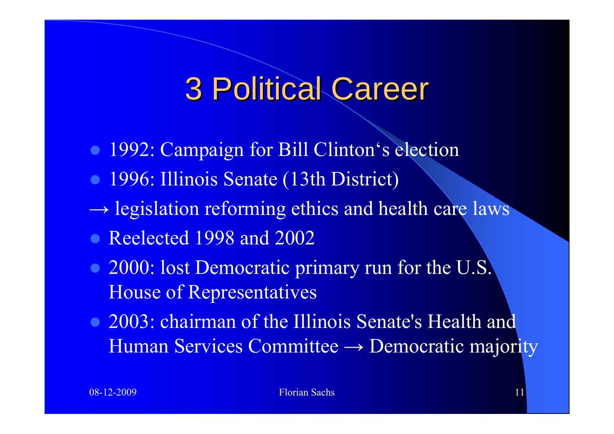- 1992: Campaign for Bill Clinton's election
- 1996: Illinois Senate (13th District)
- $\rightarrow$  legislation reforming ethics and health care laws
- Reelected 1998 and 2002
- 2000: lost Democratic primary run for the U.S. House of Representatives
- 2003: chairman of the Illinois Senate's Health and Human Services Committee → Democratic majority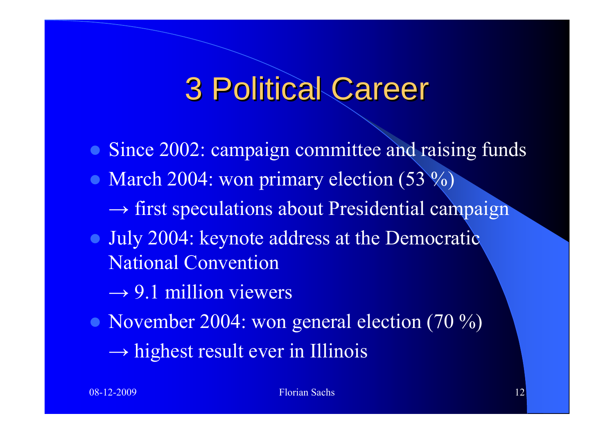- Since 2002: campaign committee and raising funds • March 2004: won primary election  $(53 \%)$  $\rightarrow$  first speculations about Presidential campaign
- July 2004: keynote address at the Democratic National Convention
	- $\rightarrow$  9.1 million viewers
- November 2004: won general election (70 %)  $\rightarrow$  highest result ever in Illinois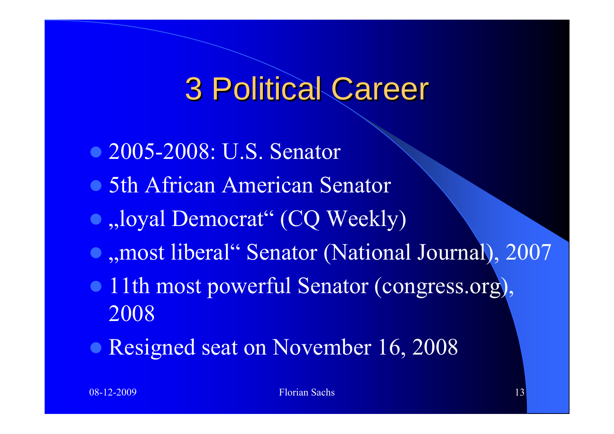- 2005-2008: U.S. Senator
- 5th African American Senator
- $\bullet$  "loyal Democrat" (CQ Weekly)
- **•** "most liberal" Senator (National Journal), 2007
- 11th most powerful Senator (congress.org), 2008
- Resigned seat on November 16, 2008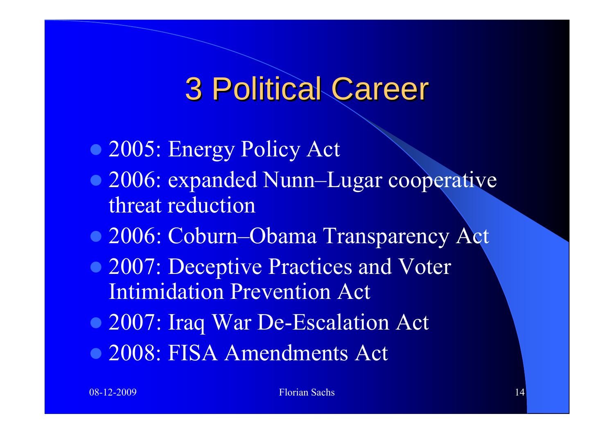- 2005: Energy Policy Act
- 2006: expanded Nunn–Lugar cooperative threat reduction
- 2006: Coburn–Obama Transparency Act
- 2007: Deceptive Practices and Voter Intimidation Prevention Act
- 2007: Iraq War De-Escalation Act
- 2008: FISA Amendments Act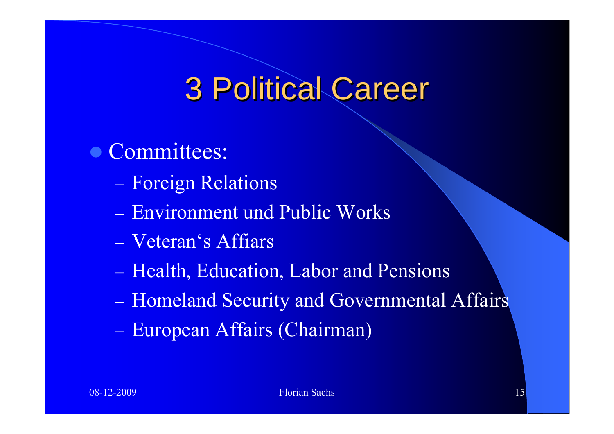- Committees:
	- Foreign Relations
	- Environment und Public Works
	- Veteran's Affiars
	- Health, Education, Labor and Pensions
	- Homeland Security and Governmental Affairs
	- European Affairs (Chairman)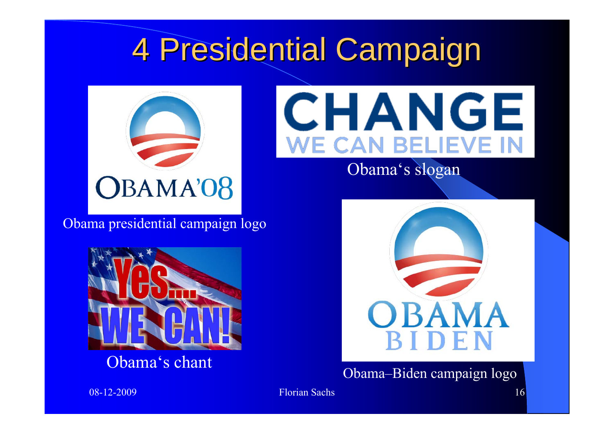

Obama presidential campaign logo



Obama's chant



Obama's slogan



Obama–Biden campaign logo

08-12-2009 Florian Sachs 16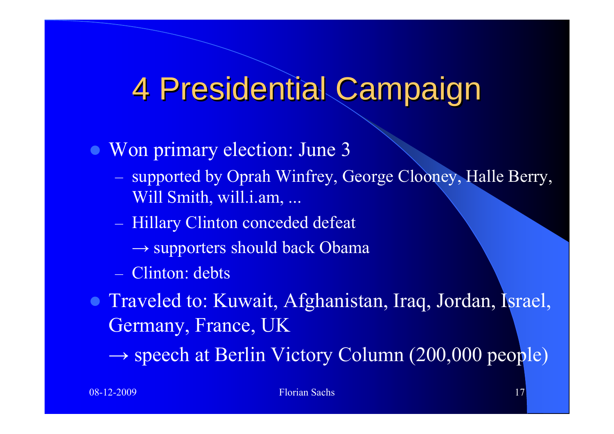- $\bullet$  Won primary election: June 3
	- supported by Oprah Winfrey, George Clooney, Halle Berry, Will Smith, will.i.am, ...
	- Hillary Clinton conceded defeat
		- $\rightarrow$  supporters should back Obama
	- Clinton: debts
- Traveled to: Kuwait, Afghanistan, Iraq, Jordan, Israel, Germany, France, UK
	- $\rightarrow$  speech at Berlin Victory Column (200,000 people)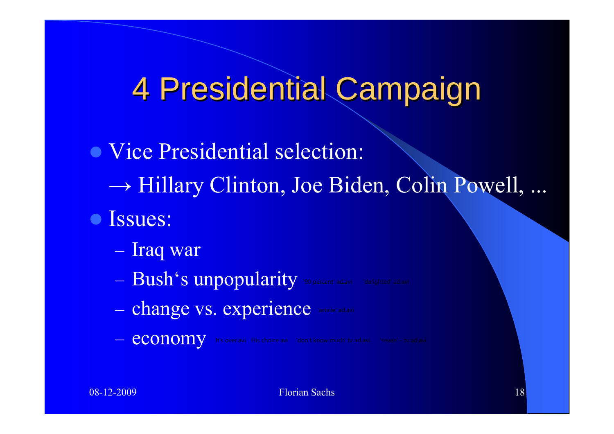- Vice Presidential selection: <sup>→</sup> Hillary Clinton, Joe Biden, Colin Powell, ...
- **•** Issues:
	- Iraq war
	- $-$  Bush's unpopularity '90 percent' ad.avi indelighted' ad.avi
		-
	- change vs. experience
	- economy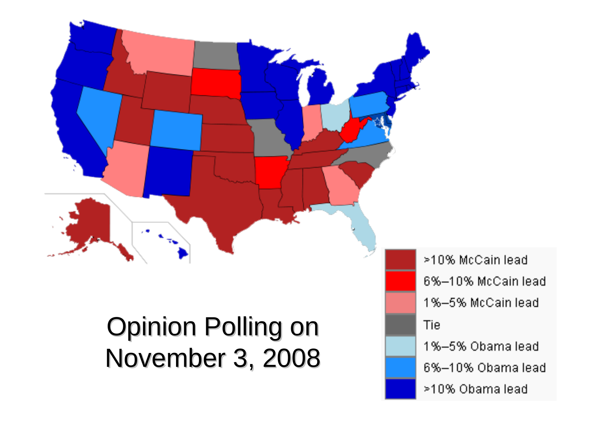

>10% McCain lead 6%-10% McCain lead 1%-5% McCain lead **Tie** 1%–5% Obama lead 6%-10% Obama lead >10% Obama lead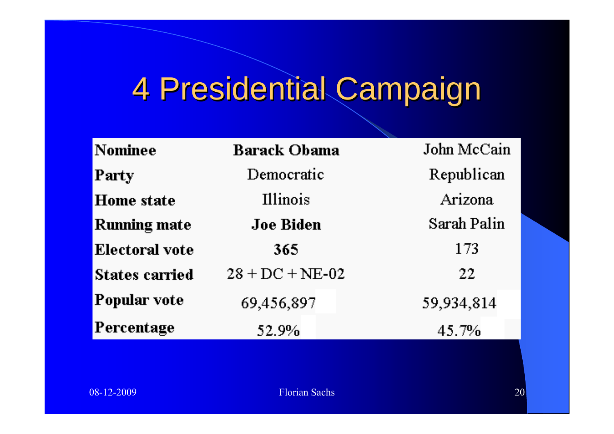| <b>Nominee</b>        | <b>Barack Obama</b> | John McCain |
|-----------------------|---------------------|-------------|
| Party                 | Democratic          | Republican  |
| <b>Home</b> state     | Illinois            | Arizona     |
| <b>Running mate</b>   | <b>Joe Biden</b>    | Sarah Palin |
| <b>Electoral vote</b> | 365                 | 173         |
| <b>States carried</b> | $28 + DC + NE-02$   | $22 \,$     |
| <b>Popular vote</b>   | 69,456,897          | 59,934,814  |
| Percentage            | 52.9%               | 45.7%       |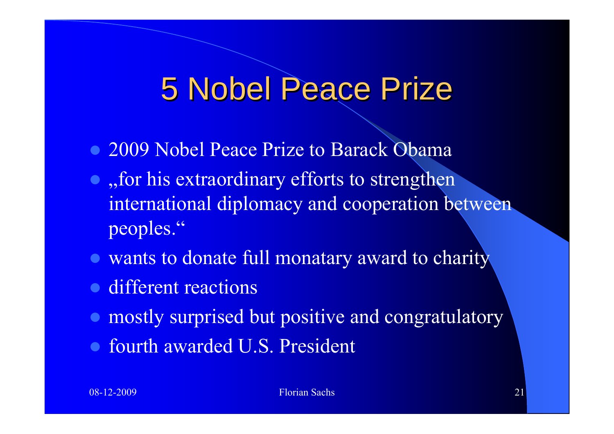#### **5 Nobel Peace Prize**

- 2009 Nobel Peace Prize to Barack Obama
- $\bullet$ , for his extraordinary efforts to strengthen international diplomacy and cooperation between peoples."
- wants to donate full monatary award to charity
- different reactions
- **mostly surprised but positive and congratulatory**
- fourth awarded U.S. President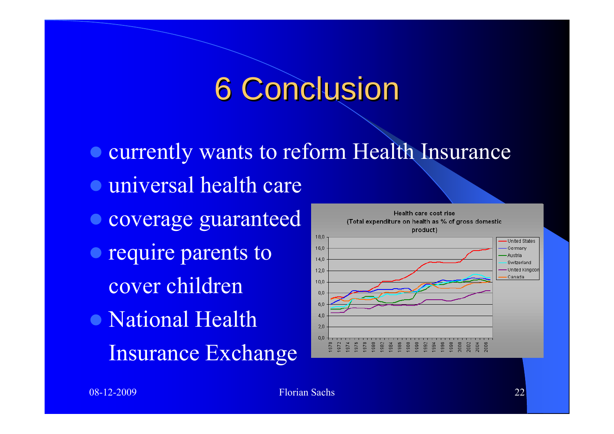#### **6 Conclusion**

- $\bullet$  currently wants to reform Health Insurance
- **universal health care**
- **Coverage guaranteed**
- require parents to cover children
- National Health Insurance Exchange

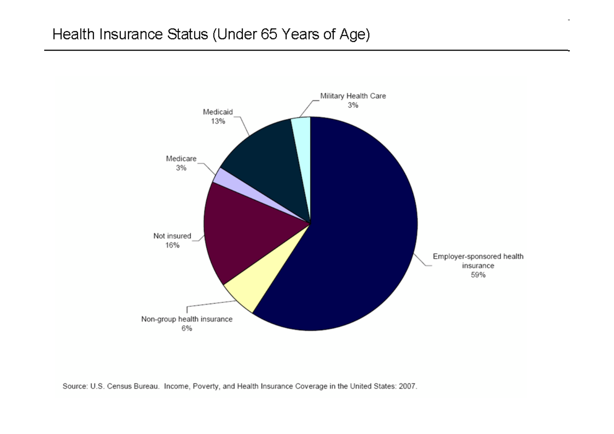

Source: U.S. Census Bureau. Income, Poverty, and Health Insurance Coverage in the United States: 2007.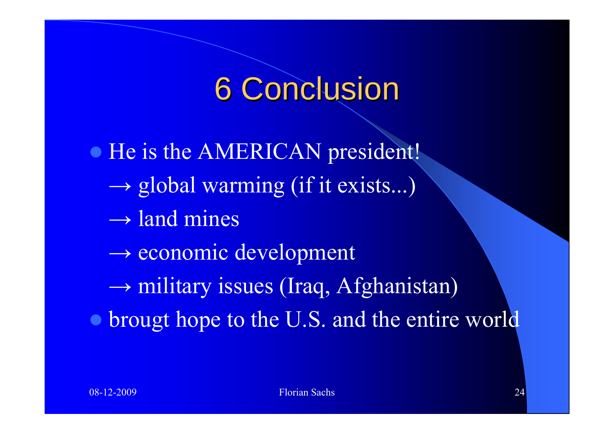#### **6 Conclusion**

• He is the AMERICAN president! <sup>→</sup> global warming (if it exists...)  $\rightarrow$  land mines  $\rightarrow$  economic development <sup>→</sup> military issues (Iraq, Afghanistan) • brougt hope to the U.S. and the entire world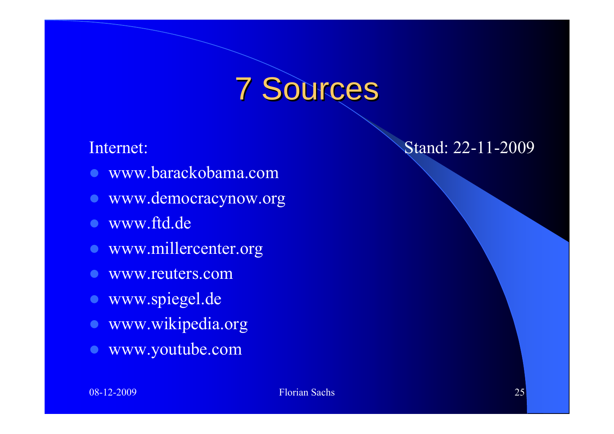#### 7 Sources 7 Sources

- z www.barackobama.com
- **•** www.democracynow.org
- $\bullet$ www.ftd.de
- **www.millercenter.org**
- $\bullet$ www.reuters.com
- **vww.spiegel.de**
- $\bullet$ www.wikipedia.org
- $\bullet$ www.youtube.com

#### Internet: Stand: 22-11-2009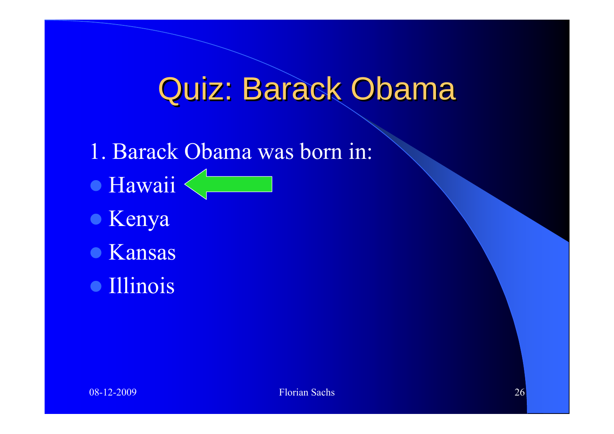- 1. Barack Obama was born in:
- **Hawaii**
- Kenya
- **Kansas**
- **Illinois**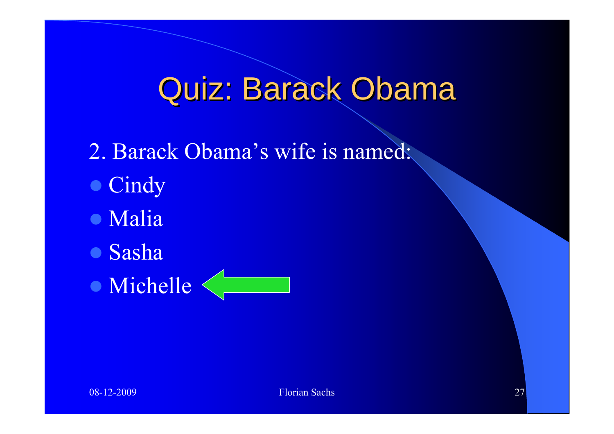- 2. Barack Obama's wife is named:
- Cindy
- Malia
- **Sasha**
- Michelle

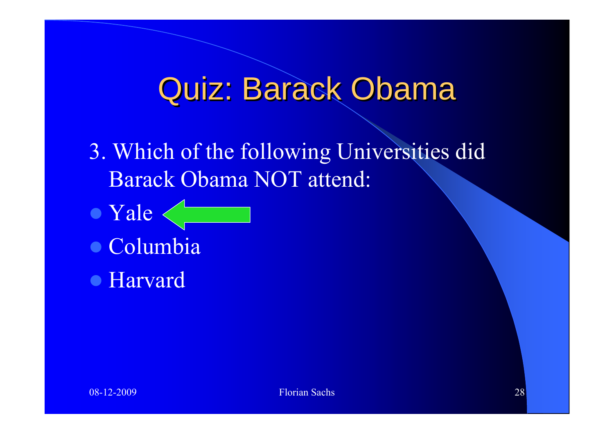- 3. Which of the following Universities did Barack Obama NOT attend:
- Yale
- Columbia
- Harvard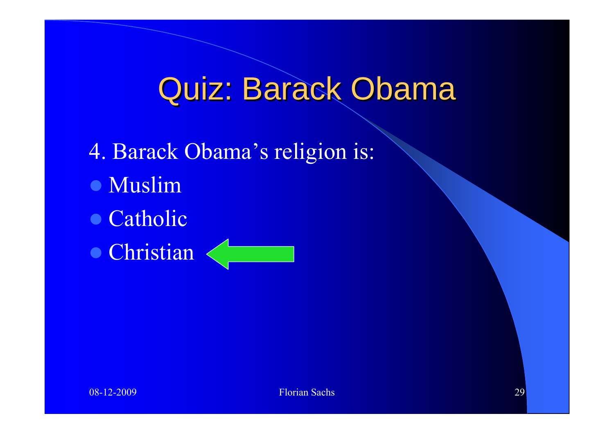4. Barack Obama's religion is: **• Muslim** • Catholic • Christian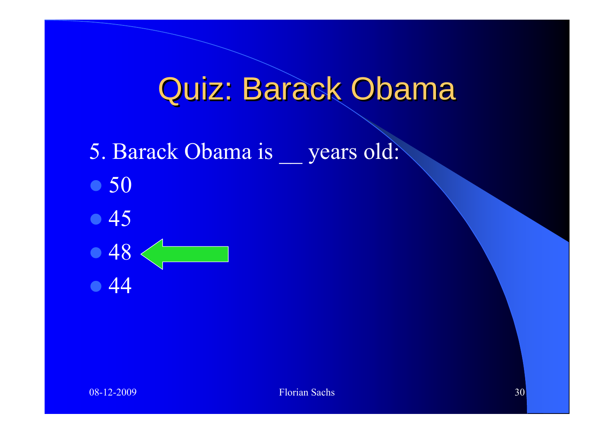- 5. Barack Obama is years old:
- $\bullet$  50
- $\bullet$  45
- $\bullet$  48  $\bullet$  44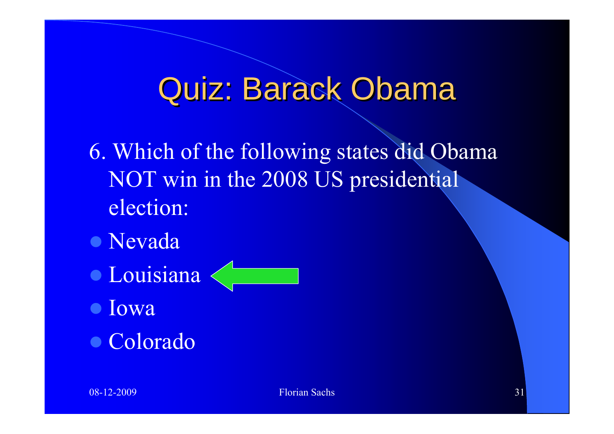- 6. Which of the following states did Obama NOT win in the 2008 US presidential election:
- **Nevada**
- **Louisiana**
- $\bullet$  Iowa
- $\bullet$  Colorado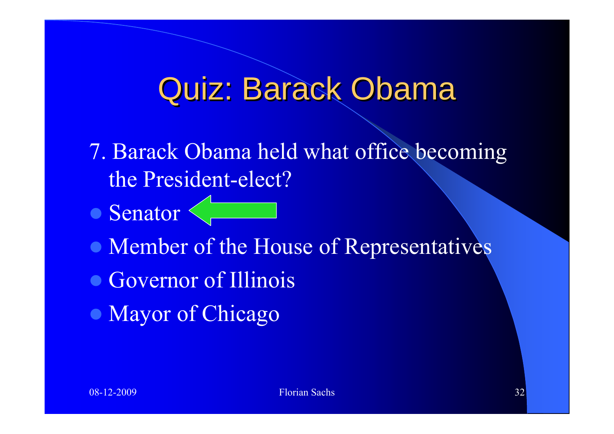- 7. Barack Obama held what office becoming the President-elect?
- Senator
- Member of the House of Representatives
- Governor of Illinois
- Mayor of Chicago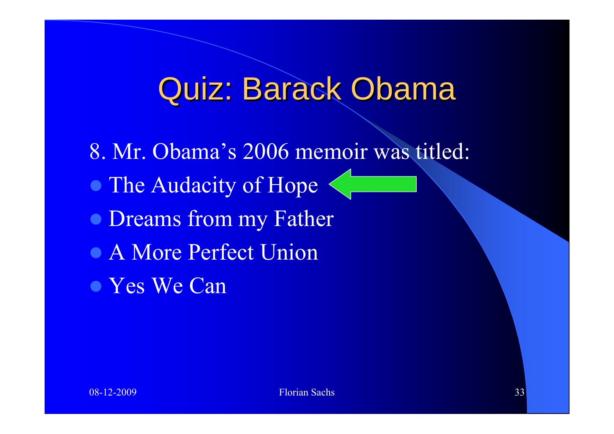- 8. Mr. Obama's 2006 memoir was titled:
- The Audacity of Hope
- Dreams from my Father
- A More Perfect Union
- Yes We Can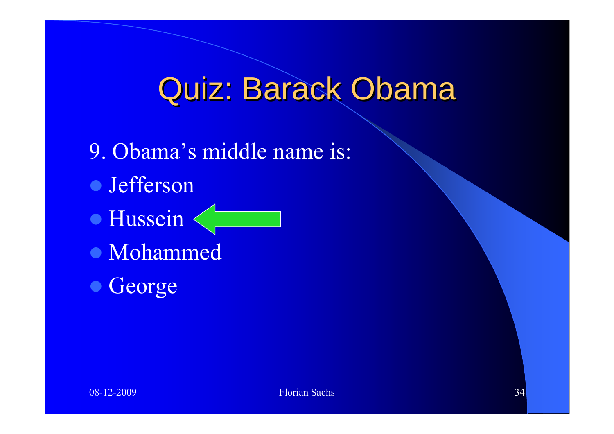- 9. Obama's middle name is:
- **Jefferson**
- **Hussein**
- Mohammed
- George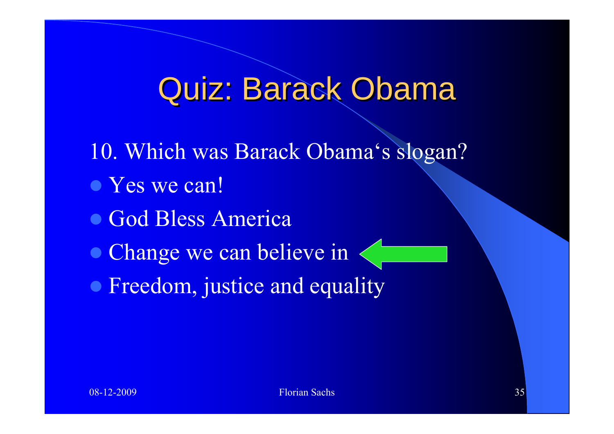- 10. Which was Barack Obama's slogan?
- Yes we can!
- God Bless America
- Change we can believe in
- Freedom, justice and equality